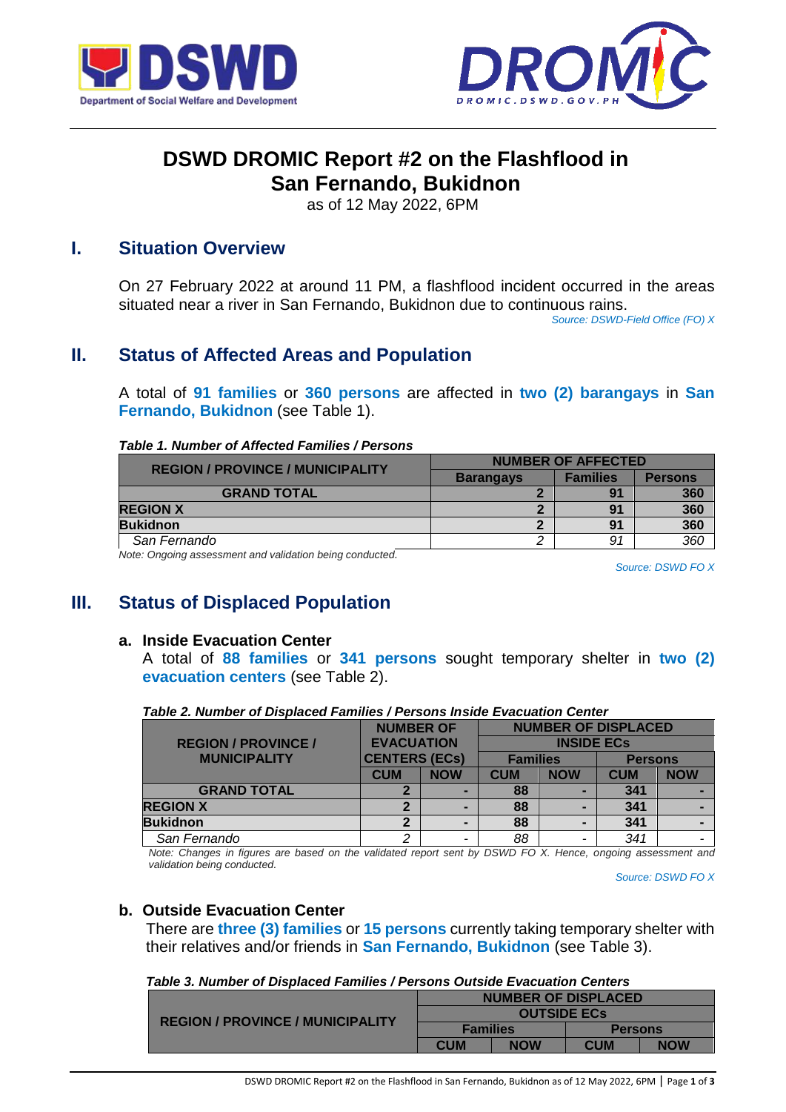



# **DSWD DROMIC Report #2 on the Flashflood in San Fernando, Bukidnon**

as of 12 May 2022, 6PM

# **I. Situation Overview**

On 27 February 2022 at around 11 PM, a flashflood incident occurred in the areas situated near a river in San Fernando, Bukidnon due to continuous rains.

*Source: DSWD-Field Office (FO) X*

# **II. Status of Affected Areas and Population**

A total of **91 families** or **360 persons** are affected in **two (2) barangays** in **San Fernando, Bukidnon** (see Table 1).

#### *Table 1. Number of Affected Families / Persons*

| <b>REGION / PROVINCE / MUNICIPALITY</b> | <b>NUMBER OF AFFECTED</b> |                 |                |  |  |
|-----------------------------------------|---------------------------|-----------------|----------------|--|--|
|                                         | <b>Barangays</b>          | <b>Families</b> | <b>Persons</b> |  |  |
| <b>GRAND TOTAL</b>                      |                           | 91              | 360            |  |  |
| <b>REGION X</b>                         |                           | 91              | 360            |  |  |
| <b>Bukidnon</b>                         |                           | 9 <sub>1</sub>  | 360            |  |  |
| San Fernando                            |                           | 91              | 360            |  |  |

*Note: Ongoing assessment and validation being conducted.* 

*Source: DSWD FO X*

# **III. Status of Displaced Population**

### **a. Inside Evacuation Center**

A total of **88 families** or **341 persons** sought temporary shelter in **two (2) evacuation centers** (see Table 2).

|                            | <b>NUMBER OF</b>         |   | <b>NUMBER OF DISPLACED</b> |            |                |            |  |
|----------------------------|--------------------------|---|----------------------------|------------|----------------|------------|--|
| <b>REGION / PROVINCE /</b> | <b>EVACUATION</b>        |   | <b>INSIDE ECS</b>          |            |                |            |  |
| <b>MUNICIPALITY</b>        | <b>CENTERS (ECs)</b>     |   | <b>Families</b>            |            | <b>Persons</b> |            |  |
|                            | <b>CUM</b><br><b>NOW</b> |   | <b>CUM</b>                 | <b>NOW</b> | <b>CUM</b>     | <b>NOW</b> |  |
| <b>GRAND TOTAL</b>         |                          |   | 88                         |            | 341            |            |  |
| <b>REGION X</b>            | ּמ                       |   | 88                         |            | 341            |            |  |
| <b>Bukidnon</b>            | $\mathbf 2$              |   | 88                         |            | 341            |            |  |
| San Fernando               | 2                        | - | 88                         |            | 341            |            |  |

#### *Table 2. Number of Displaced Families / Persons Inside Evacuation Center*

*Note: Changes in figures are based on the validated report sent by DSWD FO X. Hence, ongoing assessment and validation being conducted.*

*Source: DSWD FO X*

### **b. Outside Evacuation Center**

There are **three (3) families** or **15 persons** currently taking temporary shelter with their relatives and/or friends in **San Fernando, Bukidnon** (see Table 3).

| Table 3. Number of Displaced Families / Persons Outside Evacuation Centers |  |
|----------------------------------------------------------------------------|--|
|----------------------------------------------------------------------------|--|

| <b>REGION / PROVINCE / MUNICIPALITY</b> | <b>NUMBER OF DISPLACED</b> |            |                |            |
|-----------------------------------------|----------------------------|------------|----------------|------------|
|                                         | <b>OUTSIDE ECS</b>         |            |                |            |
|                                         | <b>Families</b>            |            | <b>Persons</b> |            |
|                                         | <b>CUM</b>                 | <b>NOW</b> | <b>CUM</b>     | <b>NOW</b> |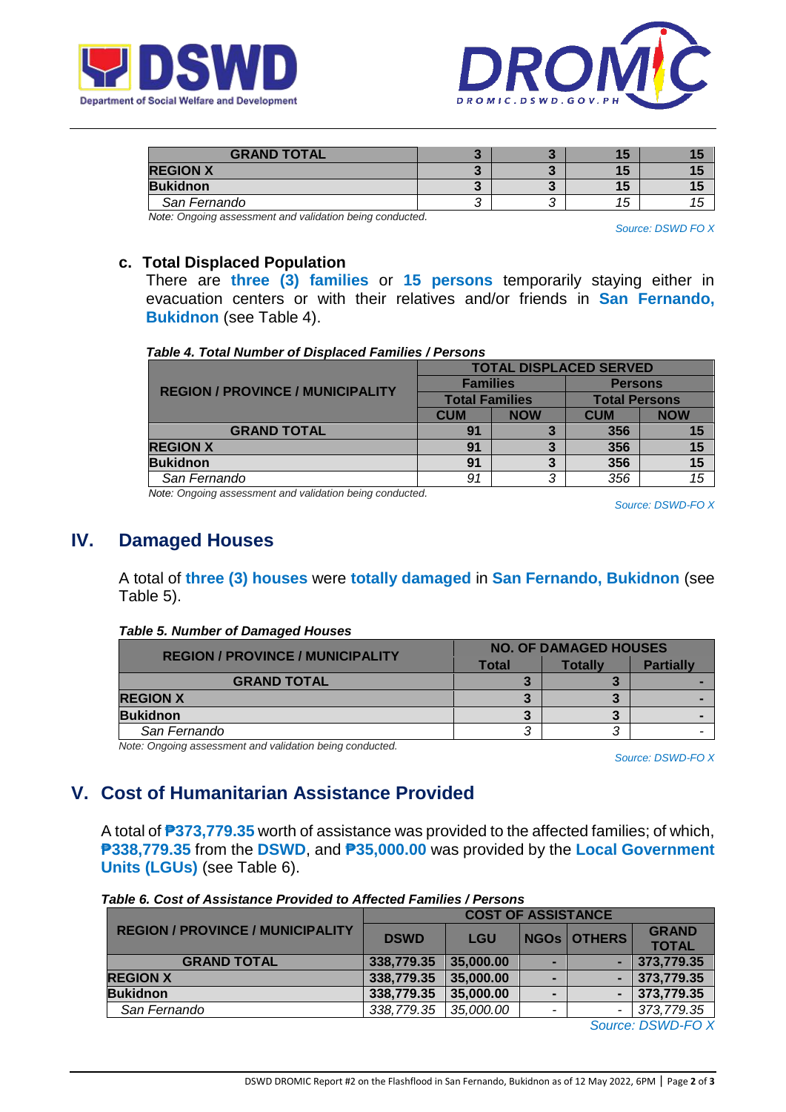



| <b>GRAND TOTAL</b> |  |    |  |
|--------------------|--|----|--|
| <b>REGION X</b>    |  |    |  |
| <b>Bukidnon</b>    |  |    |  |
| San Fernando       |  | 15 |  |

*Note: Ongoing assessment and validation being conducted.*

*Source: DSWD FO X*

### **c. Total Displaced Population**

There are **three (3) families** or **15 persons** temporarily staying either in evacuation centers or with their relatives and/or friends in **San Fernando, Bukidnon** (see Table 4).

#### *Table 4. Total Number of Displaced Families / Persons*

|                                         | <b>TOTAL DISPLACED SERVED</b> |            |                      |            |  |
|-----------------------------------------|-------------------------------|------------|----------------------|------------|--|
| <b>REGION / PROVINCE / MUNICIPALITY</b> | <b>Families</b>               |            | <b>Persons</b>       |            |  |
|                                         | <b>Total Families</b>         |            | <b>Total Persons</b> |            |  |
|                                         | <b>CUM</b>                    | <b>NOW</b> | <b>CUM</b>           | <b>NOW</b> |  |
| <b>GRAND TOTAL</b>                      | 91                            |            | 356                  |            |  |
| <b>REGION X</b>                         | 91                            |            | 356                  |            |  |
| <b>Bukidnon</b>                         | 91                            |            | 356                  |            |  |
| San Fernando                            | 91                            | ≏          | 356                  |            |  |

*Note: Ongoing assessment and validation being conducted.*

*Source: DSWD-FO X*

## **IV. Damaged Houses**

A total of **three (3) houses** were **totally damaged** in **San Fernando, Bukidnon** (see Table 5).

#### *Table 5. Number of Damaged Houses*

| <b>REGION / PROVINCE / MUNICIPALITY</b> |       | <b>NO. OF DAMAGED HOUSES</b> |                  |  |  |
|-----------------------------------------|-------|------------------------------|------------------|--|--|
|                                         | Total | Totallv                      | <b>Partially</b> |  |  |
| <b>GRAND TOTAL</b>                      |       |                              |                  |  |  |
| <b>REGION X</b>                         |       |                              |                  |  |  |
| <b>Bukidnon</b>                         |       |                              |                  |  |  |
| San Fernando                            |       |                              |                  |  |  |

*Note: Ongoing assessment and validation being conducted.*

*Source: DSWD-FO X*

# **V. Cost of Humanitarian Assistance Provided**

A total of **₱373,779.35** worth of assistance was provided to the affected families; of which, **₱338,779.35** from the **DSWD**, and **₱35,000.00** was provided by the **Local Government Units (LGUs)** (see Table 6).

|                                         | <b>COST OF ASSISTANCE</b> |           |  |                    |              |  |  |  |
|-----------------------------------------|---------------------------|-----------|--|--------------------|--------------|--|--|--|
| <b>REGION / PROVINCE / MUNICIPALITY</b> | <b>DSWD</b><br><b>LGU</b> |           |  | <b>NGOS OTHERS</b> | <b>GRAND</b> |  |  |  |
|                                         |                           |           |  | <b>TOTAL</b>       |              |  |  |  |
| <b>GRAND TOTAL</b>                      | 338,779.35                | 35,000.00 |  |                    | 373,779.35   |  |  |  |
| <b>REGION X</b>                         | 338,779.35                | 35,000.00 |  |                    | 373,779.35   |  |  |  |
| <b>Bukidnon</b>                         | 338,779.35                | 35,000.00 |  |                    | 373,779.35   |  |  |  |
| San Fernando                            | 338,779.35                | 35,000.00 |  |                    | 373,779.35   |  |  |  |
|                                         |                           |           |  | $\sim$             |              |  |  |  |

### *Table 6. Cost of Assistance Provided to Affected Families / Persons*

*Source: DSWD-FO X*